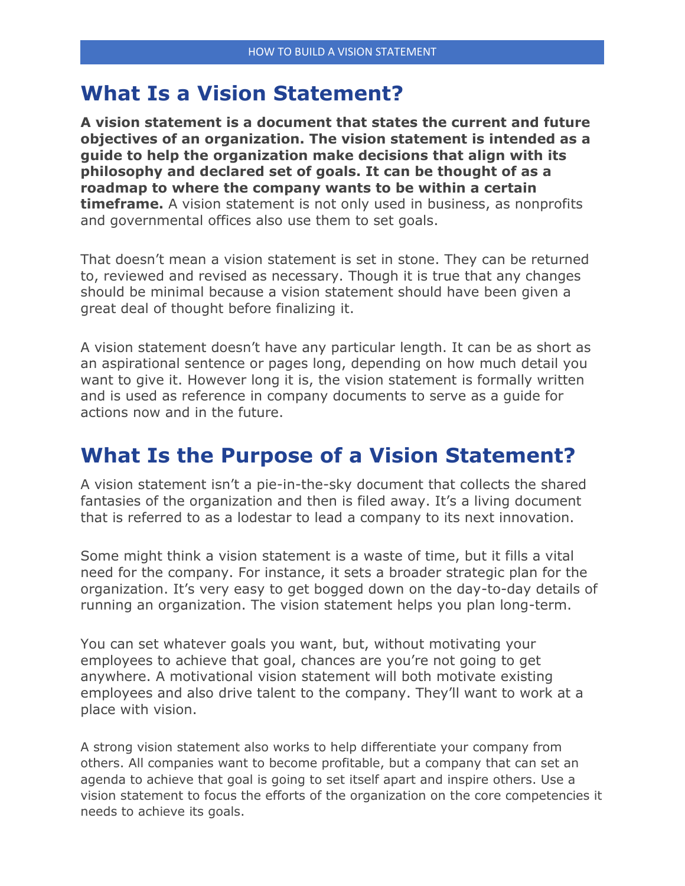### **What Is a Vision Statement?**

**A vision statement is a document that states the current and future objectives of an organization. The vision statement is intended as a guide to help the organization make decisions that align with its philosophy and declared set of goals. It can be thought of as a roadmap to where the company wants to be within a certain timeframe.** A vision statement is not only used in business, as nonprofits and governmental offices also use them to set goals.

That doesn't mean a vision statement is set in stone. They can be returned to, reviewed and revised as necessary. Though it is true that any changes should be minimal because a vision statement should have been given a great deal of thought before finalizing it.

A vision statement doesn't have any particular length. It can be as short as an aspirational sentence or pages long, depending on how much detail you want to give it. However long it is, the vision statement is formally written and is used as reference in company documents to serve as a guide for actions now and in the future.

# **What Is the Purpose of a Vision Statement?**

A vision statement isn't a pie-in-the-sky document that collects the shared fantasies of the organization and then is filed away. It's a living document that is referred to as a lodestar to lead a company to its next innovation.

Some might think a vision statement is a waste of time, but it fills a vital need for the company. For instance, it sets a broader strategic plan for the organization. It's very easy to get bogged down on the day-to-day details of running an organization. The vision statement helps you plan long-term.

You can set whatever goals you want, but, without motivating your employees to achieve that goal, chances are you're not going to get anywhere. A motivational vision statement will both motivate existing employees and also drive talent to the company. They'll want to work at a place with vision.

A strong vision statement also works to help differentiate your company from others. All companies want to become profitable, but a company that can set an agenda to achieve that goal is going to set itself apart and inspire others. Use a vision statement to focus the efforts of the organization on the core competencies it needs to achieve its goals.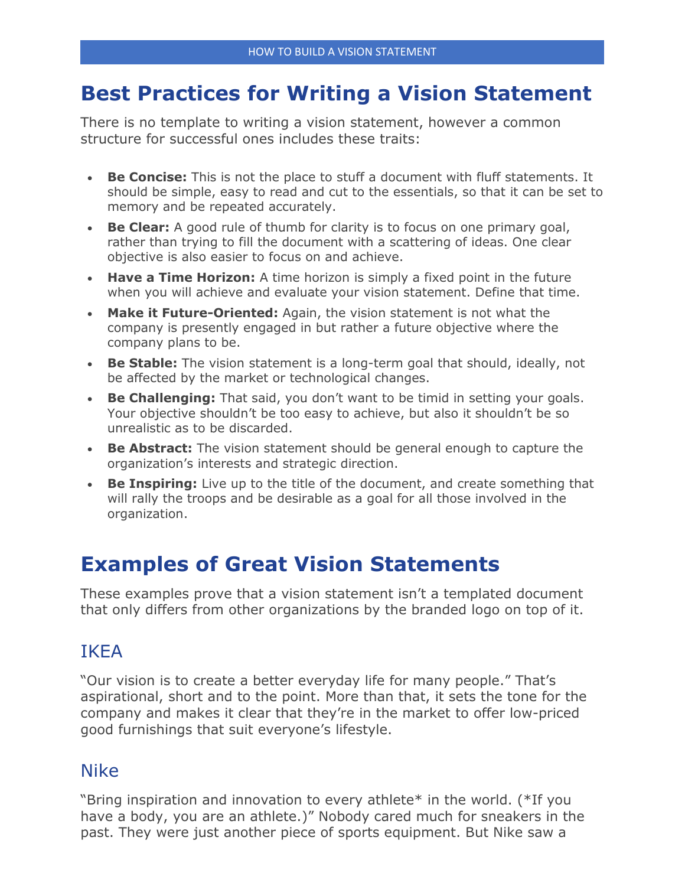# **Best Practices for Writing a Vision Statement**

There is no template to writing a vision statement, however a common structure for successful ones includes these traits:

- **Be Concise:** This is not the place to stuff a document with fluff statements. It should be simple, easy to read and cut to the essentials, so that it can be set to memory and be repeated accurately.
- **Be Clear:** A good rule of thumb for clarity is to focus on one primary goal, rather than trying to fill the document with a scattering of ideas. One clear objective is also easier to focus on and achieve.
- **Have a Time Horizon:** A time horizon is simply a fixed point in the future when you will achieve and evaluate your vision statement. Define that time.
- **Make it Future-Oriented:** Again, the vision statement is not what the company is presently engaged in but rather a future objective where the company plans to be.
- **Be Stable:** The vision statement is a long-term goal that should, ideally, not be affected by the market or technological changes.
- **Be Challenging:** That said, you don't want to be timid in setting your goals. Your objective shouldn't be too easy to achieve, but also it shouldn't be so unrealistic as to be discarded.
- **Be Abstract:** The vision statement should be general enough to capture the organization's interests and strategic direction.
- **Be Inspiring:** Live up to the title of the document, and create something that will rally the troops and be desirable as a goal for all those involved in the organization.

# **Examples of Great Vision Statements**

These examples prove that a vision statement isn't a templated document that only differs from other organizations by the branded logo on top of it.

### IKEA

"Our vision is to create a better everyday life for many people." That's aspirational, short and to the point. More than that, it sets the tone for the company and makes it clear that they're in the market to offer low-priced good furnishings that suit everyone's lifestyle.

#### Nike

"Bring inspiration and innovation to every athlete\* in the world. (\*If you have a body, you are an athlete.)" Nobody cared much for sneakers in the past. They were just another piece of sports equipment. But Nike saw a